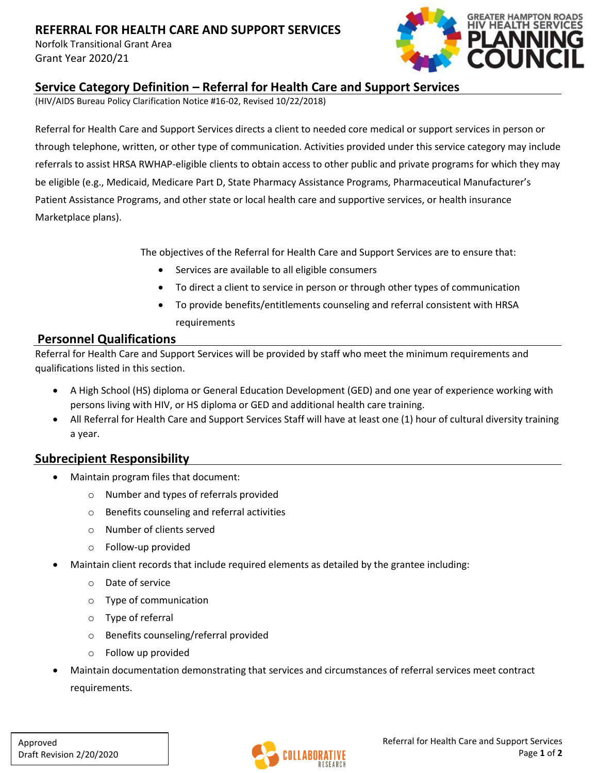# **REFERRAL FOR HEALTH CARE AND SUPPORT SERVICES**

Norfolk Transitional Grant Area Grant Year 2020/21



### **Service Category Definition – Referral for Health Care and Support Services**

(HIV/AIDS Bureau Policy Clarification Notice #16-02, Revised 10/22/2018)

Referral for Health Care and Support Services directs a client to needed core medical or support services in person or through telephone, written, or other type of communication. Activities provided under this service category may include referrals to assist HRSA RWHAP-eligible clients to obtain access to other public and private programs for which they may be eligible (e.g., Medicaid, Medicare Part D, State Pharmacy Assistance Programs, Pharmaceutical Manufacturer's Patient Assistance Programs, and other state or local health care and supportive services, or health insurance Marketplace plans).

The objectives of the Referral for Health Care and Support Services are to ensure that:

- Services are available to all eligible consumers
- To direct a client to service in person or through other types of communication
- To provide benefits/entitlements counseling and referral consistent with HRSA requirements

#### **Personnel Qualifications**

Referral for Health Care and Support Services will be provided by staff who meet the minimum requirements and qualifications listed in this section.

- A High School (HS) diploma or General Education Development (GED) and one year of experience working with persons living with HIV, or HS diploma or GED and additional health care training.
- All Referral for Health Care and Support Services Staff will have at least one (1) hour of cultural diversity training a year.

### **Subrecipient Responsibility**

- Maintain program files that document:
	- o Number and types of referrals provided
	- o Benefits counseling and referral activities
	- o Number of clients served
	- o Follow-up provided
- Maintain client records that include required elements as detailed by the grantee including:
	- o Date of service
	- o Type of communication
	- o Type of referral
	- o Benefits counseling/referral provided
	- o Follow up provided
- Maintain documentation demonstrating that services and circumstances of referral services meet contract requirements.